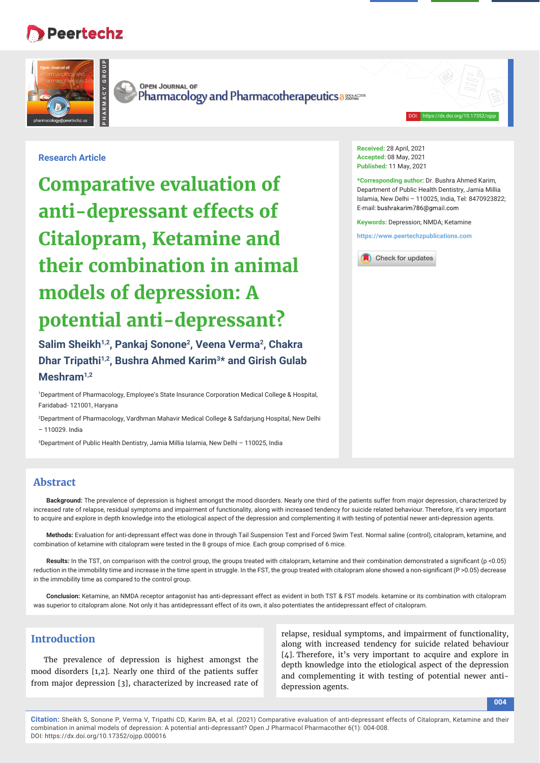# **Peertechz**

**PHARMACY GROUP**



**OPEN JOURNAL OF** Pharmacology and Pharmacotherapeutics assessed

#### DOI: https://dx.doi.org/10.17352/ojpp

## **Research Article**

**Comparative evaluation of anti-depressant effects of Citalopram, Ketamine and their combination in animal models of depression: A potential anti-depressant?**

**Salim Sheikh1,2, Pankaj Sonone2, Veena Verma2, Chakra Dhar Tripathi1,2, Bushra Ahmed Karim3\* and Girish Gulab Meshram1,2**

1 Department of Pharmacology, Employee's State Insurance Corporation Medical College & Hospital, Faridabad- 121001, Haryana

2 Department of Pharmacology, Vardhman Mahavir Medical College & Safdarjung Hospital, New Delhi – 110029. India

3 Department of Public Health Dentistry, Jamia Millia Islamia, New Delhi – 110025, India

# **Abstract**

**Background:** The prevalence of depression is highest amongst the mood disorders. Nearly one third of the patients suffer from major depression, characterized by increased rate of relapse, residual symptoms and impairment of functionality, along with increased tendency for suicide related behaviour. Therefore, it's very important to acquire and explore in depth knowledge into the etiological aspect of the depression and complementing it with testing of potential newer anti-depression agents.

**Methods:** Evaluation for anti-depressant effect was done in through Tail Suspension Test and Forced Swim Test. Normal saline (control), citalopram, ketamine, and combination of ketamine with citalopram were tested in the 8 groups of mice. Each group comprised of 6 mice.

Results: In the TST, on comparison with the control group, the groups treated with citalopram, ketamine and their combination demonstrated a significant (p <0.05) reduction in the immobility time and increase in the time spent in struggle. In the FST, the group treated with citalopram alone showed a non-significant (P > 0.05) decrease in the immobility time as compared to the control group.

**Conclusion:** Ketamine, an NMDA receptor antagonist has anti-depressant effect as evident in both TST & FST models. ketamine or its combination with citalopram was superior to citalopram alone. Not only it has antidepressant effect of its own, it also potentiates the antidepressant effect of citalopram.

# **Introduction**

The prevalence of depression is highest amongst the mood disorders [1,2]. Nearly one third of the patients suffer from major depression [3], characterized by increased rate of

relapse, residual symptoms, and impairment of functionality, along with increased tendency for suicide related behaviour [4]. Therefore, it's very important to acquire and explore in depth knowledge into the etiological aspect of the depression and complementing it with testing of potential newer antidepression agents.

**Citation:** Sheikh S, Sonone P, Verma V, Tripathi CD, Karim BA, et al. (2021) Comparative evaluation of anti-depressant effects of Citalopram, Ketamine and their combination in animal models of depression: A potential anti-depressant? Open J Pharmacol Pharmacother 6(1): 004-008. DOI: https://dx.doi.org/10.17352/ojpp.000016

**Received:** 28 April, 2021 **Accepted:** 08 May, 2021 **Published:** 11 May, 2021

**\*Corresponding author:** Dr. Bushra Ahmed Karim, Department of Public Health Dentistry, Jamia Millia Islamia, New Delhi – 110025, India, Tel: 8470923822; E-mail: bushrakarim786@gmail.com

**Keywords:** Depression; NMDA; Ketamine

**https://www.peertechzpublications.com**

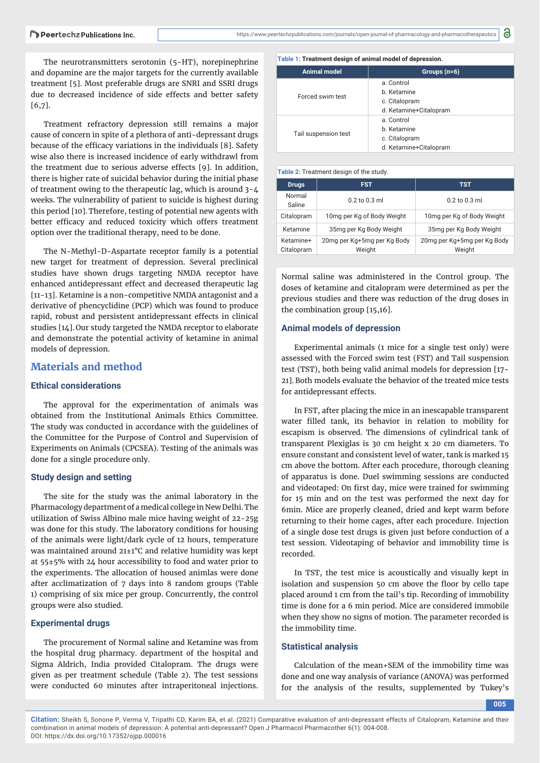The neurotransmitters serotonin (5-HT), norepinephrine and dopamine are the major targets for the currently available treatment [5]. Most preferable drugs are SNRI and SSRI drugs due to decreased incidence of side effects and better safety [6,7].

Treatment refractory depression still remains a major cause of concern in spite of a plethora of anti-depressant drugs because of the efficacy variations in the individuals [8]. Safety wise also there is increased incidence of early withdrawl from the treatment due to serious adverse effects [9]. In addition, there is higher rate of suicidal behavior during the initial phase of treatment owing to the therapeutic lag, which is around 3-4 weeks. The vulnerability of patient to suicide is highest during this period [10].Therefore, testing of potential new agents with better efficacy and reduced toxicity which offers treatment option over the traditional therapy, need to be done.

The N-Methyl-D-Aspartate receptor family is a potential new target for treatment of depression. Several preclinical studies have shown drugs targeting NMDA receptor have enhanced antidepressant effect and decreased therapeutic lag [11-13]. Ketamine is a non-competitive NMDA antagonist and a derivative of phencyclidine (PCP) which was found to produce rapid, robust and persistent antidepressant effects in clinical studies [14]. Our study targeted the NMDA receptor to elaborate and demonstrate the potential activity of ketamine in animal models of depression.

## **Materials and method**

### **Ethical considerations**

The approval for the experimentation of animals was obtained from the Institutional Animals Ethics Committee. The study was conducted in accordance with the guidelines of the Committee for the Purpose of Control and Supervision of Experiments on Animals (CPCSEA). Testing of the animals was done for a single procedure only.

#### **Study design and setting**

The site for the study was the animal laboratory in the Pharmacology department of a medical college in New Delhi. The utilization of Swiss Albino male mice having weight of 22-25g was done for this study. The laboratory conditions for housing of the animals were light/dark cycle of 12 hours, temperature was maintained around 21±1°C and relative humidity was kept at 55±5% with 24 hour accessibility to food and water prior to the experiments. The allocation of housed animlas were done after acclimatization of 7 days into 8 random groups (Table 1) comprising of six mice per group. Concurrently, the control groups were also studied.

#### **Experimental drugs**

The procurement of Normal saline and Ketamine was from the hospital drug pharmacy. department of the hospital and Sigma Aldrich, India provided Citalopram. The drugs were given as per treatment schedule (Table 2). The test sessions were conducted 60 minutes after intraperitoneal injections.

#### **Table 1: Treatment design of animal model of depression.**

| Animal model         | Groups $(n=6)$                                                       |  |
|----------------------|----------------------------------------------------------------------|--|
| Forced swim test     | a. Control<br>b. Ketamine<br>c. Citalopram<br>d. Ketamine+Citalopram |  |
| Tail suspension test | a. Control<br>b. Ketamine<br>c. Citalopram<br>d. Ketamine+Citalopram |  |

8

#### **Table 2:** Treatment design of the study.

| <b>Drugs</b>            | <b>FST</b>                            | <b>TST</b>                            |  |
|-------------------------|---------------------------------------|---------------------------------------|--|
| Normal<br>Saline        | $0.2$ to $0.3$ ml                     | $0.2$ to $0.3$ ml                     |  |
| Citalopram              | 10mg per Kg of Body Weight            | 10mg per Kg of Body Weight            |  |
| Ketamine                | 35mg per Kg Body Weight               | 35mg per Kg Body Weight               |  |
| Ketamine+<br>Citalopram | 20mg per Kg+5mg per Kg Body<br>Weight | 20mg per Kg+5mg per Kg Body<br>Weight |  |

Normal saline was administered in the Control group. The doses of ketamine and citalopram were determined as per the previous studies and there was reduction of the drug doses in the combination group [15,16].

#### **Animal models of depression**

Experimental animals (1 mice for a single test only) were assessed with the Forced swim test (FST) and Tail suspension test (TST), both being valid animal models for depression [17- 21].Both models evaluate the behavior of the treated mice tests for antidepressant effects.

In FST, after placing the mice in an inescapable transparent water filled tank, its behavior in relation to mobility for escapism is observed. The dimensions of cylindrical tank of transparent Plexiglas is 30 cm height x 20 cm diameters. To ensure constant and consistent level of water, tank is marked 15 cm above the bottom. After each procedure, thorough cleaning of apparatus is done. Duel swimming sessions are conducted and videotaped: On first day, mice were trained for swimming for 15 min and on the test was performed the next day for 6min. Mice are properly cleaned, dried and kept warm before returning to their home cages, after each procedure. Injection of a single dose test drugs is given just before conduction of a test session. Videotaping of behavior and immobility time is recorded.

In TST, the test mice is acoustically and visually kept in isolation and suspension 50 cm above the floor by cello tape placed around 1 cm from the tail's tip. Recording of immobility time is done for a 6 min period. Mice are considered immobile when they show no signs of motion. The parameter recorded is the immobility time.

#### **Statistical analysis**

Calculation of the mean+SEM of the immobility time was done and one way analysis of variance (ANOVA) was performed for the analysis of the results, supplemented by Tukey's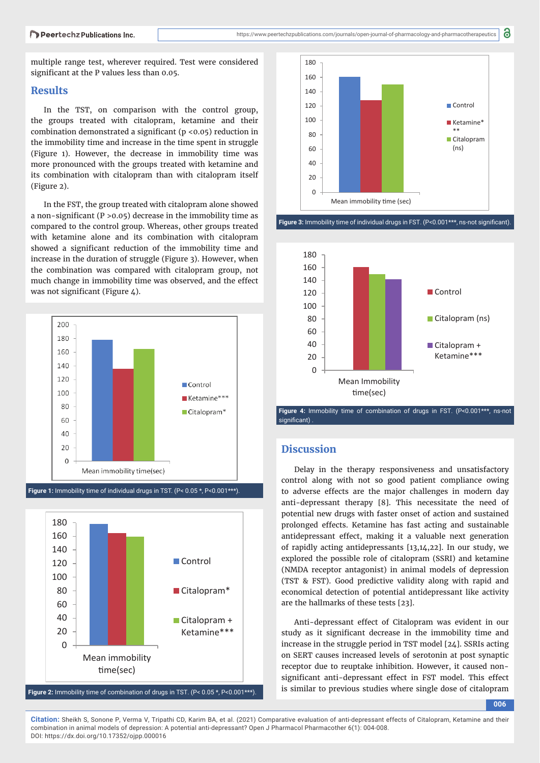multiple range test, wherever required. Test were considered significant at the P values less than 0.05.

#### **Results**

In the TST, on comparison with the control group, the groups treated with citalopram, ketamine and their combination demonstrated a significant ( $p < 0.05$ ) reduction in the immobility time and increase in the time spent in struggle (Figure 1). However, the decrease in immobility time was more pronounced with the groups treated with ketamine and its combination with citalopram than with citalopram itself (Figure 2).

In the FST, the group treated with citalopram alone showed a non-significant ( $P > 0.05$ ) decrease in the immobility time as compared to the control group. Whereas, other groups treated with ketamine alone and its combination with citalopram showed a significant reduction of the immobility time and increase in the duration of struggle (Figure 3). However, when the combination was compared with citalopram group, not much change in immobility time was observed, and the effect was not significant (Figure  $4$ ).



Figure 1: Immobility time of individual drugs in TST. (P< 0.05 \*, P<0.001\*\*\*).



**Figure 2:** Immobility time of combination of drugs in TST. (P<  $0.05$ \*, P< $0.001$ \*\*\*).



**Figure 3:** Immobility time of individual drugs in FST. (P<0.001\*\*\*, ns-not significant).



Figure 4: Immobility time of combination of drugs in FST. (P<0.001\*\*\*, ns-not significant)

## **Discussion**

Delay in the therapy responsiveness and unsatisfactory control along with not so good patient compliance owing to adverse effects are the major challenges in modern day anti-depressant therapy [8]. This necessitate the need of potential new drugs with faster onset of action and sustained prolonged effects. Ketamine has fast acting and sustainable antidepressant effect, making it a valuable next generation of rapidly acting antidepressants [13,14,22]. In our study, we explored the possible role of citalopram (SSRI) and ketamine (NMDA receptor antagonist) in animal models of depression (TST & FST). Good predictive validity along with rapid and economical detection of potential antidepressant like activity are the hallmarks of these tests [23].

Anti-depressant effect of Citalopram was evident in our study as it significant decrease in the immobility time and increase in the struggle period in TST model [24]. SSRIs acting on SERT causes increased levels of serotonin at post synaptic receptor due to reuptake inhibition. However, it caused nonsignificant anti-depressant effect in FST model. This effect is similar to previous studies where single dose of citalopram

**006**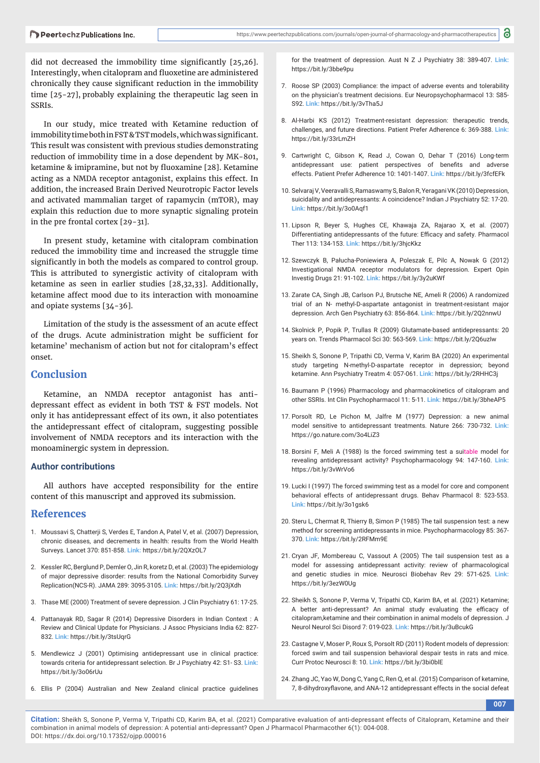did not decreased the immobility time significantly  $[25,26]$ . Interestingly, when citalopram and fluoxetine are administered chronically they cause significant reduction in the immobility time [25-27], probably explaining the therapeutic lag seen in SSRIs.

In our study, mice treated with Ketamine reduction of immobility time both in FST & TST models, which was significant. This result was consistent with previous studies demonstrating reduction of immobility time in a dose dependent by MK-801, ketamine & imipramine, but not by fluoxamine [28]. Ketamine acting as a NMDA receptor antagonist, explains this effect. In addition, the increased Brain Derived Neurotropic Factor levels and activated mammalian target of rapamycin (mTOR), may explain this reduction due to more synaptic signaling protein in the pre frontal cortex [29-31].

In present study, ketamine with citalopram combination reduced the immobility time and increased the struggle time significantly in both the models as compared to control group. This is attributed to synergistic activity of citalopram with ketamine as seen in earlier studies [28,32,33]. Additionally, ketamine affect mood due to its interaction with monoamine and opiate systems [34-36].

Limitation of the study is the assessment of an acute effect of the drugs. Acute administration might be sufficient for ketamine' mechanism of action but not for citalopram's effect onset.

# **Conclusion**

Ketamine, an NMDA receptor antagonist has antidepressant effect as evident in both TST & FST models. Not only it has antidepressant effect of its own, it also potentiates the antidepressant effect of citalopram, suggesting possible involvement of NMDA receptors and its interaction with the monoaminergic system in depression.

#### **Author contributions**

All authors have accepted responsibility for the entire content of this manuscript and approved its submission.

## **References**

- 1. Moussavi S, Chatterji S, Verdes E, Tandon A, Patel V, et al. (2007) Depression, chronic diseases, and decrements in health: results from the World Health Surveys. Lancet 370: 851-858. **Link:** https://bit.ly/2QXzOL7
- 2. Kessler RC, Berglund P, Demler O, Jin R, koretz D, et al. (2003) The epidemiology of major depressive disorder: results from the National Comorbidity Survey Replication(NCS-R). JAMA 289: 3095-3105. **Link:** https://bit.ly/2Q3jXdh
- 3. Thase ME (2000) Treatment of severe depression. J Clin Psychiatry 61: 17-25.
- 4. Pattanayak RD, Sagar R (2014) Depressive Disorders in Indian Context : A Review and Clinical Update for Physicians. J Assoc Physicians India 62: 827- 832. **Link:** https://bit.ly/3tsUqrG
- 5. Mendlewicz J (2001) Optimising antidepressant use in clinical practice: towards criteria for antidepressant selection. Br J Psychiatry 42: S1- S3. **Link:** https://bit.ly/3o06rUu
- 6. Ellis P (2004) Australian and New Zealand clinical practice guidelines

for the treatment of depression. Aust N Z J Psychiatry 38: 389-407. **Link:** https://bit.ly/3bbe9pu

- 7. Roose SP (2003) Compliance: the impact of adverse events and tolerability on the physician's treatment decisions. Eur Neuropsychopharmacol 13: S85- S92. **Link:** https://bit.ly/3vTha5J
- 8. Al-Harbi KS (2012) Treatment-resistant depression: therapeutic trends, challenges, and future directions. Patient Prefer Adherence 6: 369-388. **Link:** https://bit.ly/33rLmZH
- 9. Cartwright C, Gibson K, Read J, Cowan O, Dehar T (2016) Long-term antidepressant use: patient perspectives of benefits and adverse effects. Patient Prefer Adherence 10: 1401-1407. **Link:** https://bit.ly/3fcfEFk
- 10. Selvaraj V, Veeravalli S, Ramaswamy S, Balon R, Yeragani VK (2010) Depression, suicidality and antidepressants: A coincidence? Indian J Psychiatry 52: 17-20. **Link:** https://bit.ly/3o0Aqf1
- 11. Lipson R, Beyer S, Hughes CE, Khawaja ZA, Rajarao X, et al. (2007) Differentiating antidepressants of the future: Efficacy and safety. Pharmacol Ther 113: 134-153. **Link:** https://bit.ly/3hjcKkz
- 12. Szewczyk B, Pałucha-Poniewiera A, Poleszak E, Pilc A, Nowak G (2012) Investigational NMDA receptor modulators for depression. Expert Opin Investig Drugs 21: 91-102. **Link:** https://bit.ly/3y2uKWf
- 13. Zarate CA, Singh JB, Carlson PJ, Brutsche NE, Ameli R (2006) A randomized trial of an N- methyl-D-aspartate antagonist in treatment-resistant major depression. Arch Gen Psychiatry 63: 856-864. **Link:** https://bit.ly/2Q2nnwU
- 14. Skolnick P, Popik P, Trullas R (2009) Glutamate-based antidepressants: 20 years on. Trends Pharmacol Sci 30: 563-569. **Link:** https://bit.ly/2Q6uzIw
- 15. Sheikh S, Sonone P, Tripathi CD, Verma V, Karim BA (2020) An experimental study targeting N-methyl-D-aspartate receptor in depression; beyond ketamine. Ann Psychiatry Treatm 4: 057-061. **Link:** https://bit.ly/2RHHC3j
- 16. Baumann P (1996) Pharmacology and pharmacokinetics of citalopram and other SSRIs. Int Clin Psychopharmacol 11: 5-11. **Link:** https://bit.ly/3bheAP5
- 17. Porsolt RD, Le Pichon M, Jalfre M (1977) Depression: a new animal model sensitive to antidepressant treatments. Nature 266: 730-732. **Link:** https://go.nature.com/3o4LiZ3
- 18. Borsini F, Meli A (1988) Is the forced swimming test a suitable model for revealing antidepressant activity? Psychopharmacology 94: 147-160. **Link:** https://bit.ly/3vWrVo6
- 19. Lucki I (1997) The forced swimming test as a model for core and component behavioral effects of antidepressant drugs. Behav Pharmacol 8: 523-553. **Link:** https://bit.ly/3o1gsk6
- 20. Steru L, Chermat R, Thierry B, Simon P (1985) The tail suspension test: a new method for screening antidepressants in mice. Psychopharmacology 85: 367- 370. **Link:** https://bit.ly/2RFMm9E
- 21. Cryan JF, Mombereau C, Vassout A (2005) The tail suspension test as a model for assessing antidepressant activity: review of pharmacological and genetic studies in mice. Neurosci Biobehav Rev 29: 571-625. **Link:** https://bit.ly/3ezW0Ug
- 22. Sheikh S, Sonone P, Verma V, Tripathi CD, Karim BA, et al. (2021) Ketamine; A better anti-depressant? An animal study evaluating the efficacy of citalopram,ketamine and their combination in animal models of depression. J Neurol Neurol Sci Disord 7: 019-023. **Link:** https://bit.ly/3uBcukG
- 23. Castagne V, Moser P, Roux S, Porsolt RD (2011) Rodent models of depression: forced swim and tail suspension behavioral despair tests in rats and mice. Curr Protoc Neurosci 8: 10. **Link:** https://bit.ly/3bi0blE
- 24. Zhang JC, Yao W, Dong C, Yang C, Ren Q, et al. (2015) Comparison of ketamine, 7, 8-dihydroxyflavone, and ANA-12 antidepressant effects in the social defeat

**007**